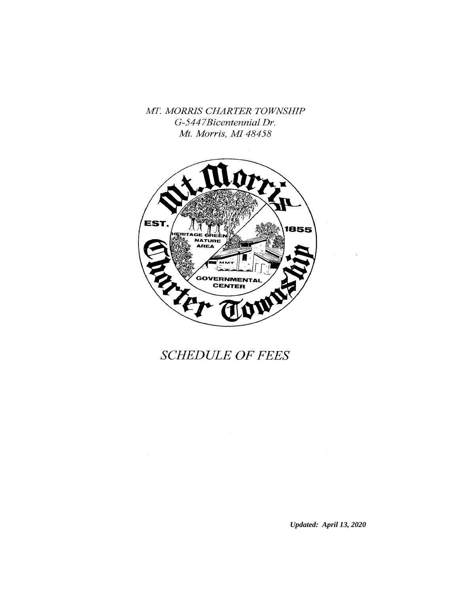MT. MORRIS CHARTER TOWNSHIP G-5447Bicentennial Dr. Mt. Morris, MI 48458



# **SCHEDULE OF FEES**

*Updated: April 13, 2020*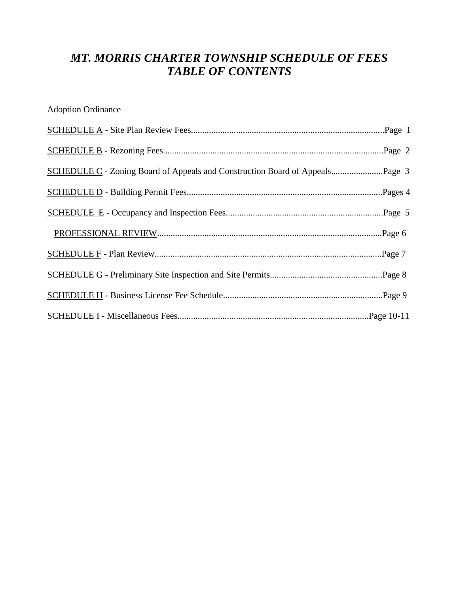# *MT. MORRIS CHARTER TOWNSHIP SCHEDULE OF FEES TABLE OF CONTENTS*

Adoption Ordinance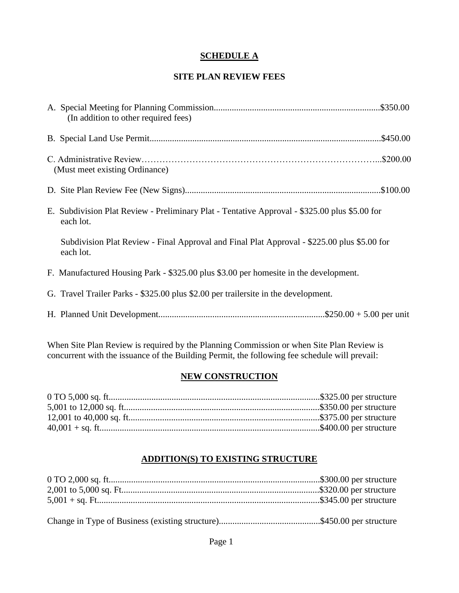### **SCHEDULE A**

#### **SITE PLAN REVIEW FEES**

| (In addition to other required fees)                                                                       |
|------------------------------------------------------------------------------------------------------------|
|                                                                                                            |
| (Must meet existing Ordinance)                                                                             |
|                                                                                                            |
| E. Subdivision Plat Review - Preliminary Plat - Tentative Approval - \$325.00 plus \$5.00 for<br>each lot. |
| Subdivision Plat Review - Final Approval and Final Plat Approval - \$225.00 plus \$5.00 for<br>each lot.   |
| F. Manufactured Housing Park - \$325.00 plus \$3.00 per homesite in the development.                       |
| G. Travel Trailer Parks - \$325.00 plus \$2.00 per trailersite in the development.                         |
|                                                                                                            |

When Site Plan Review is required by the Planning Commission or when Site Plan Review is concurrent with the issuance of the Building Permit, the following fee schedule will prevail:

### **NEW CONSTRUCTION**

### **ADDITION(S) TO EXISTING STRUCTURE**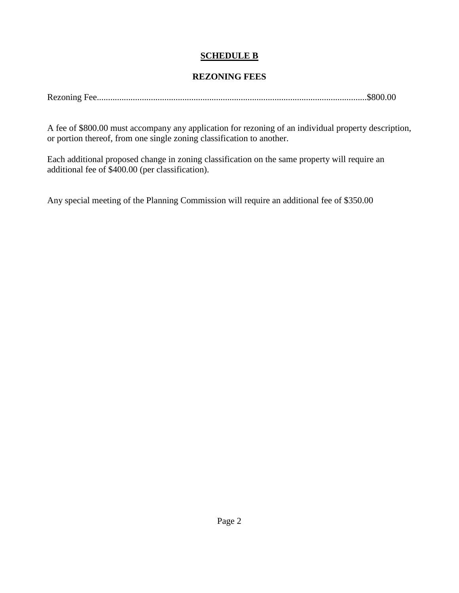### **SCHEDULE B**

#### **REZONING FEES**

|--|--|--|

A fee of \$800.00 must accompany any application for rezoning of an individual property description, or portion thereof, from one single zoning classification to another.

Each additional proposed change in zoning classification on the same property will require an additional fee of \$400.00 (per classification).

Any special meeting of the Planning Commission will require an additional fee of \$350.00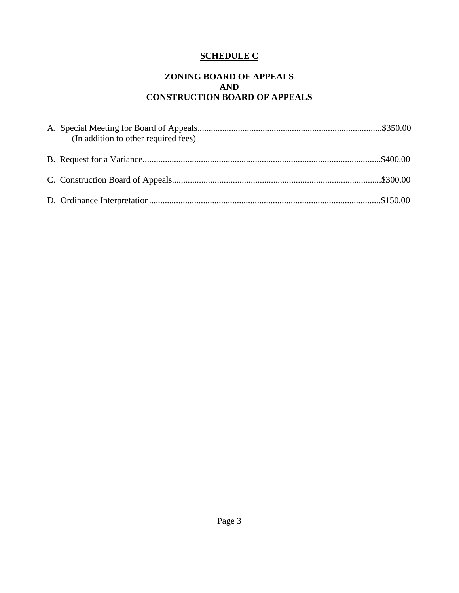# **SCHEDULE C**

#### **ZONING BOARD OF APPEALS AND CONSTRUCTION BOARD OF APPEALS**

| (In addition to other required fees) |  |
|--------------------------------------|--|
|                                      |  |
|                                      |  |
|                                      |  |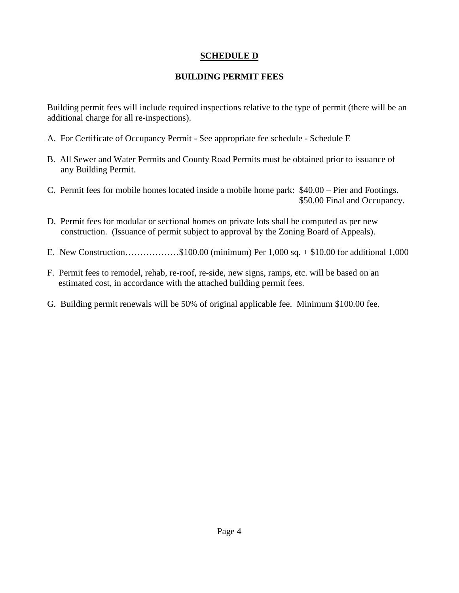### **SCHEDULE D**

### **BUILDING PERMIT FEES**

Building permit fees will include required inspections relative to the type of permit (there will be an additional charge for all re-inspections).

- A. For Certificate of Occupancy Permit See appropriate fee schedule Schedule E
- B. All Sewer and Water Permits and County Road Permits must be obtained prior to issuance of any Building Permit.
- C. Permit fees for mobile homes located inside a mobile home park: \$40.00 Pier and Footings. \$50.00 Final and Occupancy.
- D. Permit fees for modular or sectional homes on private lots shall be computed as per new construction. (Issuance of permit subject to approval by the Zoning Board of Appeals).
- E. New Construction………………\$100.00 (minimum) Per 1,000 sq. + \$10.00 for additional 1,000
- F. Permit fees to remodel, rehab, re-roof, re-side, new signs, ramps, etc. will be based on an estimated cost, in accordance with the attached building permit fees.
- G. Building permit renewals will be 50% of original applicable fee. Minimum \$100.00 fee.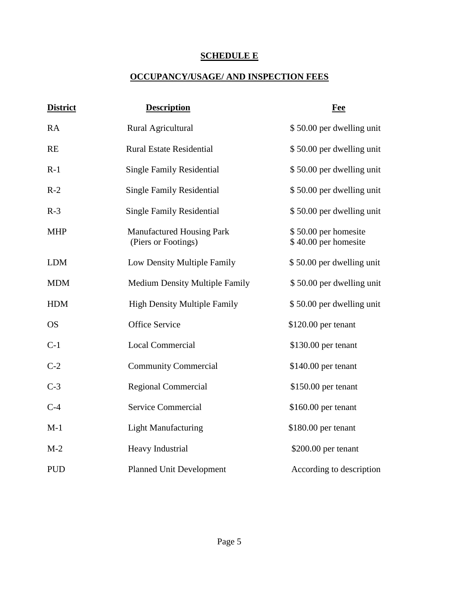# **SCHEDULE E**

# **OCCUPANCY/USAGE/ AND INSPECTION FEES**

| <b>District</b> | <b>Description</b>                                      | <b>Fee</b>                                   |
|-----------------|---------------------------------------------------------|----------------------------------------------|
| <b>RA</b>       | Rural Agricultural                                      | \$50.00 per dwelling unit                    |
| <b>RE</b>       | <b>Rural Estate Residential</b>                         | \$50.00 per dwelling unit                    |
| $R-1$           | <b>Single Family Residential</b>                        | \$50.00 per dwelling unit                    |
| $R-2$           | <b>Single Family Residential</b>                        | \$50.00 per dwelling unit                    |
| $R-3$           | <b>Single Family Residential</b>                        | \$50.00 per dwelling unit                    |
| <b>MHP</b>      | <b>Manufactured Housing Park</b><br>(Piers or Footings) | \$50.00 per homesite<br>\$40.00 per homesite |
| <b>LDM</b>      | Low Density Multiple Family                             | \$50.00 per dwelling unit                    |
| <b>MDM</b>      | <b>Medium Density Multiple Family</b>                   | \$50.00 per dwelling unit                    |
| <b>HDM</b>      | <b>High Density Multiple Family</b>                     | \$50.00 per dwelling unit                    |
| <b>OS</b>       | <b>Office Service</b>                                   | \$120.00 per tenant                          |
| $C-1$           | Local Commercial                                        | \$130.00 per tenant                          |
| $C-2$           | <b>Community Commercial</b>                             | \$140.00 per tenant                          |
| $C-3$           | <b>Regional Commercial</b>                              | \$150.00 per tenant                          |
| $C-4$           | <b>Service Commercial</b>                               | $$160.00$ per tenant                         |
| $M-1$           | <b>Light Manufacturing</b>                              | \$180.00 per tenant                          |
| $M-2$           | Heavy Industrial                                        | $$200.00$ per tenant                         |
| <b>PUD</b>      | <b>Planned Unit Development</b>                         | According to description                     |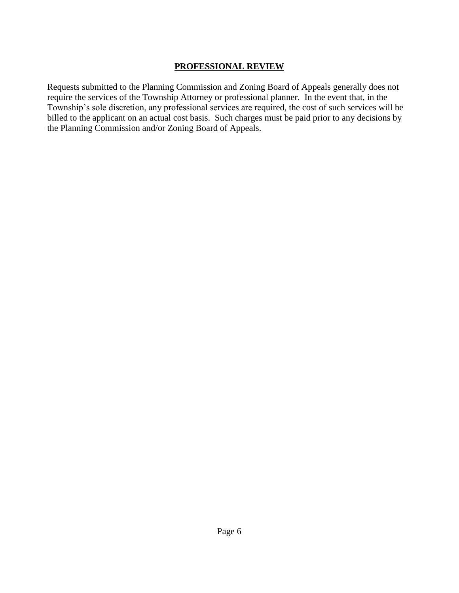### **PROFESSIONAL REVIEW**

Requests submitted to the Planning Commission and Zoning Board of Appeals generally does not require the services of the Township Attorney or professional planner. In the event that, in the Township's sole discretion, any professional services are required, the cost of such services will be billed to the applicant on an actual cost basis. Such charges must be paid prior to any decisions by the Planning Commission and/or Zoning Board of Appeals.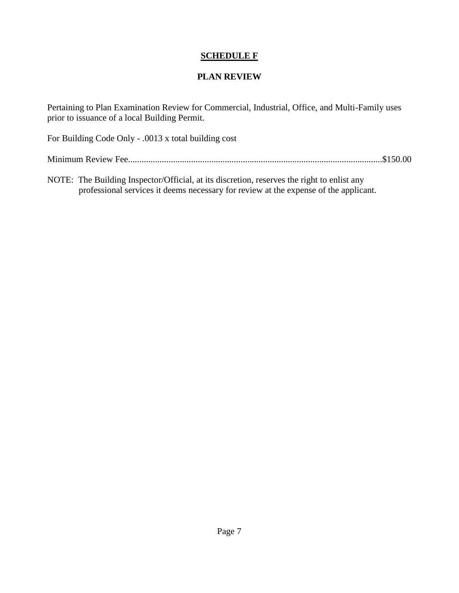### **SCHEDULE F**

### **PLAN REVIEW**

Pertaining to Plan Examination Review for Commercial, Industrial, Office, and Multi-Family uses prior to issuance of a local Building Permit.

For Building Code Only - .0013 x total building cost

Minimum Review Fee.................................................................................................................\$150.00

NOTE: The Building Inspector/Official, at its discretion, reserves the right to enlist any professional services it deems necessary for review at the expense of the applicant.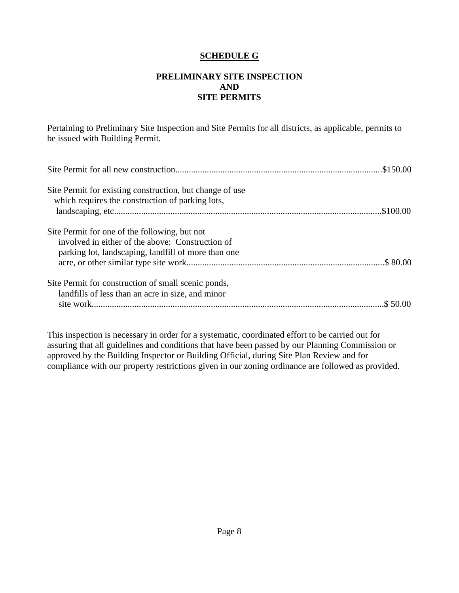#### **SCHEDULE G**

#### **PRELIMINARY SITE INSPECTION AND SITE PERMITS**

Pertaining to Preliminary Site Inspection and Site Permits for all districts, as applicable, permits to be issued with Building Permit.

| Site Permit for existing construction, but change of use<br>which requires the construction of parking lots,                                             |  |
|----------------------------------------------------------------------------------------------------------------------------------------------------------|--|
| Site Permit for one of the following, but not<br>involved in either of the above: Construction of<br>parking lot, landscaping, landfill of more than one |  |
| Site Permit for construction of small scenic ponds,<br>landfills of less than an acre in size, and minor                                                 |  |

This inspection is necessary in order for a systematic, coordinated effort to be carried out for assuring that all guidelines and conditions that have been passed by our Planning Commission or approved by the Building Inspector or Building Official, during Site Plan Review and for compliance with our property restrictions given in our zoning ordinance are followed as provided.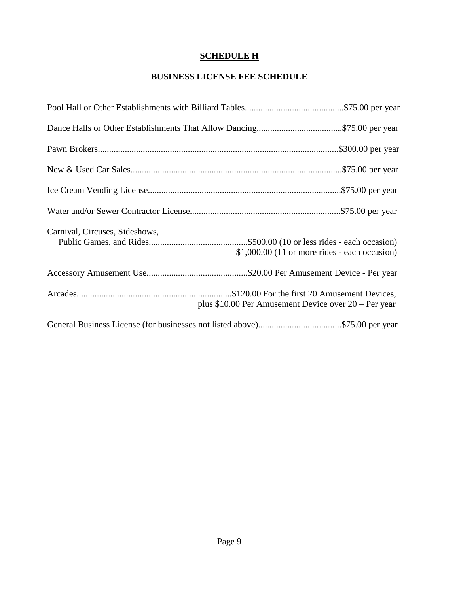# **SCHEDULE H**

### **BUSINESS LICENSE FEE SCHEDULE**

| Carnival, Circuses, Sideshows,<br>$$1,000.00$ (11 or more rides - each occasion) |  |
|----------------------------------------------------------------------------------|--|
|                                                                                  |  |
| plus \$10.00 Per Amusement Device over 20 – Per year                             |  |
|                                                                                  |  |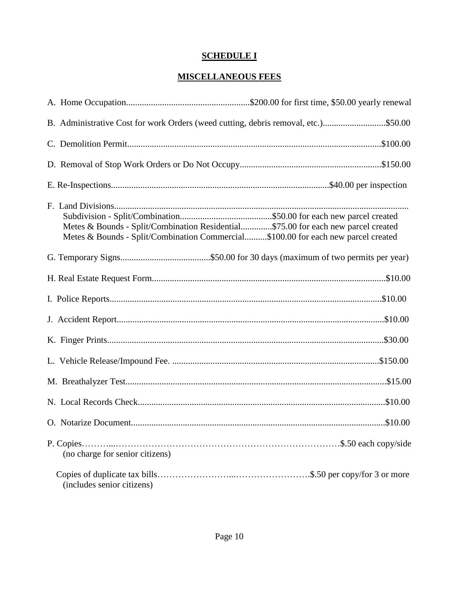# **SCHEDULE I**

### **MISCELLANEOUS FEES**

| B. Administrative Cost for work Orders (weed cutting, debris removal, etc.)\$50.00                                                                                     |  |
|------------------------------------------------------------------------------------------------------------------------------------------------------------------------|--|
|                                                                                                                                                                        |  |
|                                                                                                                                                                        |  |
|                                                                                                                                                                        |  |
| Metes & Bounds - Split/Combination Residential\$75.00 for each new parcel created<br>Metes & Bounds - Split/Combination Commercial\$100.00 for each new parcel created |  |
|                                                                                                                                                                        |  |
|                                                                                                                                                                        |  |
|                                                                                                                                                                        |  |
|                                                                                                                                                                        |  |
|                                                                                                                                                                        |  |
|                                                                                                                                                                        |  |
|                                                                                                                                                                        |  |
|                                                                                                                                                                        |  |
|                                                                                                                                                                        |  |
| (no charge for senior citizens)                                                                                                                                        |  |
| (includes senior citizens)                                                                                                                                             |  |